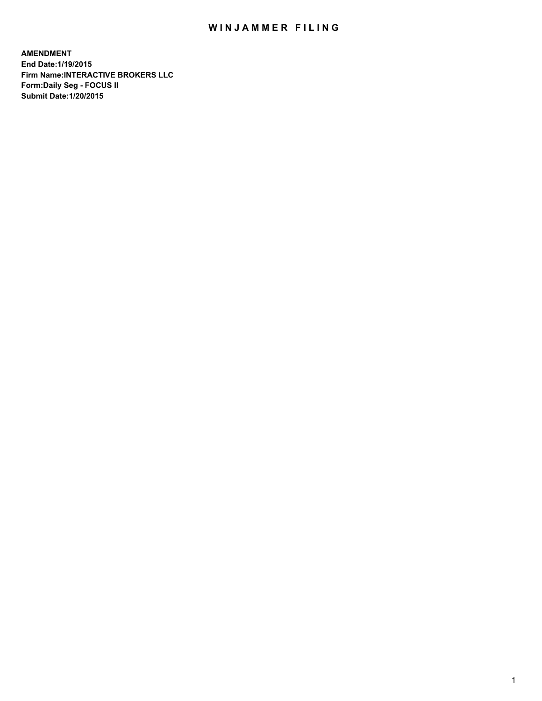# WIN JAMMER FILING

**AMENDMENT End Date:1/19/2015 Firm Name:INTERACTIVE BROKERS LLC Form:Daily Seg - FOCUS II Submit Date:1/20/2015**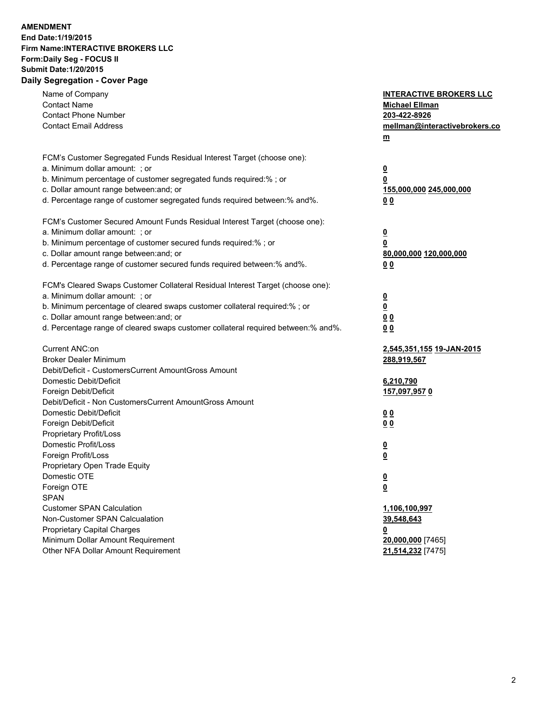## **AMENDMENT End Date:1/19/2015 Firm Name:INTERACTIVE BROKERS LLC Form:Daily Seg - FOCUS II Submit Date:1/20/2015 Daily Segregation - Cover Page**

| Name of Company<br><b>Contact Name</b><br><b>Contact Phone Number</b><br><b>Contact Email Address</b>                                                                                                                                                                                                                          | <b>INTERACTIVE BROKERS LLC</b><br><b>Michael Ellman</b><br>203-422-8926<br>mellman@interactivebrokers.co<br>m |
|--------------------------------------------------------------------------------------------------------------------------------------------------------------------------------------------------------------------------------------------------------------------------------------------------------------------------------|---------------------------------------------------------------------------------------------------------------|
| FCM's Customer Segregated Funds Residual Interest Target (choose one):<br>a. Minimum dollar amount: ; or<br>b. Minimum percentage of customer segregated funds required:% ; or<br>c. Dollar amount range between: and; or<br>d. Percentage range of customer segregated funds required between:% and%.                         | <u>0</u><br>0<br><u>155,000,000 245,000,000</u><br>0 <sub>0</sub>                                             |
| FCM's Customer Secured Amount Funds Residual Interest Target (choose one):<br>a. Minimum dollar amount: ; or<br>b. Minimum percentage of customer secured funds required:% ; or<br>c. Dollar amount range between: and; or<br>d. Percentage range of customer secured funds required between:% and%.                           | <u>0</u><br>0<br><u>80,000,000 120,000,000</u><br>0 <sub>0</sub>                                              |
| FCM's Cleared Swaps Customer Collateral Residual Interest Target (choose one):<br>a. Minimum dollar amount: ; or<br>b. Minimum percentage of cleared swaps customer collateral required:% ; or<br>c. Dollar amount range between: and; or<br>d. Percentage range of cleared swaps customer collateral required between:% and%. | $\overline{\mathbf{0}}$<br>0<br>0 <sub>0</sub><br>0 <sub>0</sub>                                              |
| Current ANC:on<br><b>Broker Dealer Minimum</b><br>Debit/Deficit - CustomersCurrent AmountGross Amount<br>Domestic Debit/Deficit<br>Foreign Debit/Deficit                                                                                                                                                                       | 2,545,351,155 19-JAN-2015<br>288,919,567<br>6,210,790<br><u>157,097,9570</u>                                  |
| Debit/Deficit - Non CustomersCurrent AmountGross Amount<br>Domestic Debit/Deficit<br>Foreign Debit/Deficit<br>Proprietary Profit/Loss<br>Domestic Profit/Loss                                                                                                                                                                  | 0 <sub>0</sub><br>0 <sub>0</sub><br><u>0</u>                                                                  |
| Foreign Profit/Loss<br>Proprietary Open Trade Equity<br>Domestic OTE<br>Foreign OTE<br><b>SPAN</b><br><b>Customer SPAN Calculation</b>                                                                                                                                                                                         | <u>0</u><br><u>0</u><br><u>0</u><br>1,106,100,997                                                             |
| Non-Customer SPAN Calcualation<br><b>Proprietary Capital Charges</b><br>Minimum Dollar Amount Requirement<br>Other NFA Dollar Amount Requirement                                                                                                                                                                               | 39,548,643<br><u>0</u><br>20,000,000 [7465]<br>21,514,232 [7475]                                              |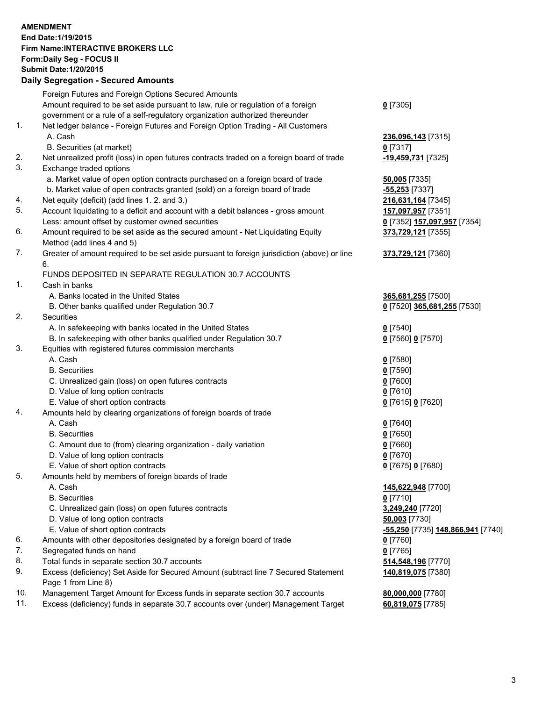#### **AMENDMENT End Date:1/19/2015 Firm Name:INTERACTIVE BROKERS LLC Form:Daily Seg - FOCUS II Submit Date:1/20/2015 Daily Segregation - Secured Amounts**

|     | Foreign Futures and Foreign Options Secured Amounts                                         |                                   |
|-----|---------------------------------------------------------------------------------------------|-----------------------------------|
|     | Amount required to be set aside pursuant to law, rule or regulation of a foreign            | $0$ [7305]                        |
|     | government or a rule of a self-regulatory organization authorized thereunder                |                                   |
| 1.  | Net ledger balance - Foreign Futures and Foreign Option Trading - All Customers             |                                   |
|     | A. Cash                                                                                     | 236,096,143 [7315]                |
|     | B. Securities (at market)                                                                   | $0$ [7317]                        |
| 2.  | Net unrealized profit (loss) in open futures contracts traded on a foreign board of trade   | -19,459,731 [7325]                |
| 3.  | Exchange traded options                                                                     |                                   |
|     | a. Market value of open option contracts purchased on a foreign board of trade              | 50,005 [7335]                     |
|     | b. Market value of open contracts granted (sold) on a foreign board of trade                | -55,253 [7337]                    |
| 4.  | Net equity (deficit) (add lines 1.2. and 3.)                                                | 216,631,164 [7345]                |
| 5.  | Account liquidating to a deficit and account with a debit balances - gross amount           | 157,097,957 [7351]                |
|     | Less: amount offset by customer owned securities                                            | 0 [7352] 157,097,957 [7354]       |
| 6.  | Amount required to be set aside as the secured amount - Net Liquidating Equity              | 373,729,121 [7355]                |
|     | Method (add lines 4 and 5)                                                                  |                                   |
| 7.  | Greater of amount required to be set aside pursuant to foreign jurisdiction (above) or line | 373,729,121 [7360]                |
|     | 6.                                                                                          |                                   |
|     | FUNDS DEPOSITED IN SEPARATE REGULATION 30.7 ACCOUNTS                                        |                                   |
| 1.  | Cash in banks                                                                               |                                   |
|     | A. Banks located in the United States                                                       | 365,681,255 [7500]                |
|     | B. Other banks qualified under Regulation 30.7                                              | 0 [7520] 365,681,255 [7530]       |
| 2.  | Securities                                                                                  |                                   |
|     | A. In safekeeping with banks located in the United States                                   | $Q$ [7540]                        |
|     | B. In safekeeping with other banks qualified under Regulation 30.7                          | 0 [7560] 0 [7570]                 |
| 3.  | Equities with registered futures commission merchants                                       |                                   |
|     | A. Cash                                                                                     | $0$ [7580]                        |
|     | <b>B.</b> Securities                                                                        | $0$ [7590]                        |
|     | C. Unrealized gain (loss) on open futures contracts                                         | $0$ [7600]                        |
|     | D. Value of long option contracts                                                           | $0$ [7610]                        |
|     | E. Value of short option contracts                                                          | 0 [7615] 0 [7620]                 |
| 4.  | Amounts held by clearing organizations of foreign boards of trade                           |                                   |
|     | A. Cash                                                                                     | $0$ [7640]                        |
|     | <b>B.</b> Securities                                                                        | $0$ [7650]                        |
|     | C. Amount due to (from) clearing organization - daily variation                             | $0$ [7660]                        |
|     | D. Value of long option contracts                                                           | $0$ [7670]                        |
|     | E. Value of short option contracts                                                          | 0 [7675] 0 [7680]                 |
| 5.  | Amounts held by members of foreign boards of trade                                          |                                   |
|     | A. Cash                                                                                     | 145,622,948 [7700]                |
|     | <b>B.</b> Securities                                                                        | $0$ [7710]                        |
|     | C. Unrealized gain (loss) on open futures contracts                                         | 3,249,240 [7720]                  |
|     | D. Value of long option contracts                                                           | 50,003 [7730]                     |
|     | E. Value of short option contracts                                                          | -55,250 [7735] 148,866,941 [7740] |
| 6.  | Amounts with other depositories designated by a foreign board of trade                      | $0$ [7760]                        |
| 7.  | Segregated funds on hand                                                                    | $0$ [7765]                        |
| 8.  | Total funds in separate section 30.7 accounts                                               | 514,548,196 [7770]                |
| 9.  | Excess (deficiency) Set Aside for Secured Amount (subtract line 7 Secured Statement         | 140,819,075 [7380]                |
|     | Page 1 from Line 8)                                                                         |                                   |
| 10. | Management Target Amount for Excess funds in separate section 30.7 accounts                 | 80,000,000 [7780]                 |
| 11. | Excess (deficiency) funds in separate 30.7 accounts over (under) Management Target          | 60,819,075 [7785]                 |
|     |                                                                                             |                                   |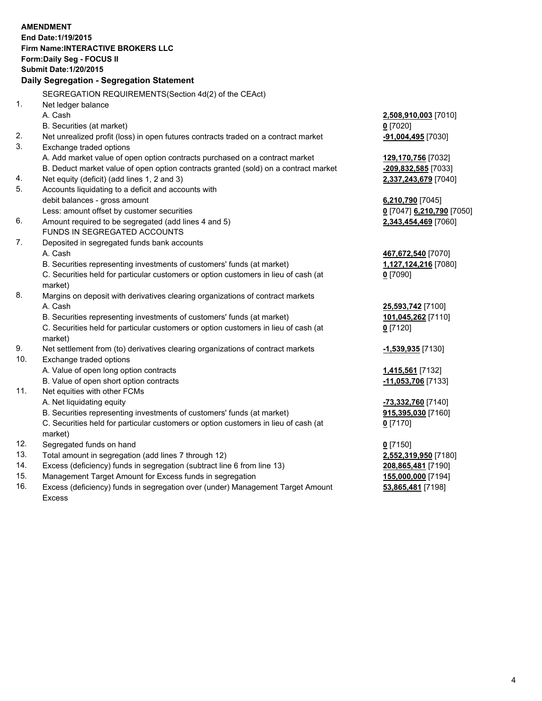|     | <b>AMENDMENT</b><br>End Date: 1/19/2015<br><b>Firm Name: INTERACTIVE BROKERS LLC</b><br>Form: Daily Seg - FOCUS II<br><b>Submit Date: 1/20/2015</b><br>Daily Segregation - Segregation Statement |                           |
|-----|--------------------------------------------------------------------------------------------------------------------------------------------------------------------------------------------------|---------------------------|
|     | SEGREGATION REQUIREMENTS(Section 4d(2) of the CEAct)                                                                                                                                             |                           |
| 1.  | Net ledger balance                                                                                                                                                                               |                           |
|     | A. Cash                                                                                                                                                                                          | 2,508,910,003 [7010]      |
|     | B. Securities (at market)                                                                                                                                                                        | $0$ [7020]                |
| 2.  | Net unrealized profit (loss) in open futures contracts traded on a contract market                                                                                                               | -91,004,495 [7030]        |
| 3.  | Exchange traded options                                                                                                                                                                          |                           |
|     | A. Add market value of open option contracts purchased on a contract market                                                                                                                      | 129,170,756 [7032]        |
|     | B. Deduct market value of open option contracts granted (sold) on a contract market                                                                                                              | -209,832,585 [7033]       |
| 4.  | Net equity (deficit) (add lines 1, 2 and 3)                                                                                                                                                      | 2,337,243,679 [7040]      |
| 5.  | Accounts liquidating to a deficit and accounts with                                                                                                                                              |                           |
|     | debit balances - gross amount                                                                                                                                                                    | 6,210,790 [7045]          |
|     | Less: amount offset by customer securities                                                                                                                                                       | 0 [7047] 6,210,790 [7050] |
| 6.  | Amount required to be segregated (add lines 4 and 5)                                                                                                                                             | 2,343,454,469 [7060]      |
|     | FUNDS IN SEGREGATED ACCOUNTS                                                                                                                                                                     |                           |
| 7.  | Deposited in segregated funds bank accounts                                                                                                                                                      |                           |
|     | A. Cash                                                                                                                                                                                          | 467,672,540 [7070]        |
|     | B. Securities representing investments of customers' funds (at market)                                                                                                                           | 1,127,124,216 [7080]      |
|     | C. Securities held for particular customers or option customers in lieu of cash (at<br>market)                                                                                                   | $0$ [7090]                |
| 8.  | Margins on deposit with derivatives clearing organizations of contract markets                                                                                                                   |                           |
|     | A. Cash                                                                                                                                                                                          | 25,593,742 [7100]         |
|     | B. Securities representing investments of customers' funds (at market)                                                                                                                           | 101,045,262 [7110]        |
|     | C. Securities held for particular customers or option customers in lieu of cash (at<br>market)                                                                                                   | $0$ [7120]                |
| 9.  | Net settlement from (to) derivatives clearing organizations of contract markets                                                                                                                  | -1,539,935 [7130]         |
| 10. | Exchange traded options                                                                                                                                                                          |                           |
|     | A. Value of open long option contracts                                                                                                                                                           | 1,415,561 [7132]          |
|     | B. Value of open short option contracts                                                                                                                                                          | $-11,053,706$ [7133]      |
| 11. | Net equities with other FCMs                                                                                                                                                                     |                           |
|     | A. Net liquidating equity                                                                                                                                                                        | -73,332,760 [7140]        |
|     | B. Securities representing investments of customers' funds (at market)                                                                                                                           | 915,395,030 [7160]        |
|     | C. Securities held for particular customers or option customers in lieu of cash (at<br>market)                                                                                                   | $0$ [7170]                |
| 12. | Segregated funds on hand                                                                                                                                                                         | $0$ [7150]                |
| 13. | Total amount in segregation (add lines 7 through 12)                                                                                                                                             | 2,552,319,950 [7180]      |
| 14. | Excess (deficiency) funds in segregation (subtract line 6 from line 13)                                                                                                                          | 208,865,481 [7190]        |
| 15. | Management Target Amount for Excess funds in segregation                                                                                                                                         | 155,000,000 [7194]        |
|     |                                                                                                                                                                                                  |                           |

16. Excess (deficiency) funds in segregation over (under) Management Target Amount Excess

**53,865,481** [7198]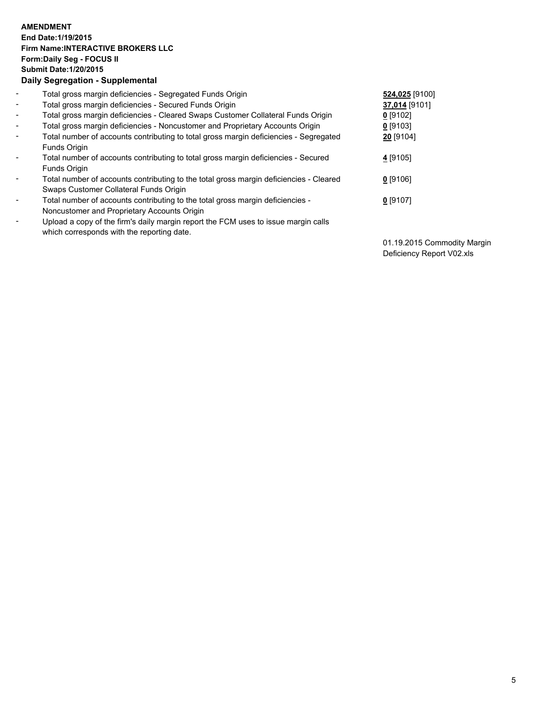## **AMENDMENT End Date:1/19/2015 Firm Name:INTERACTIVE BROKERS LLC Form:Daily Seg - FOCUS II Submit Date:1/20/2015 Daily Segregation - Supplemental**

| $\blacksquare$ | Total gross margin deficiencies - Segregated Funds Origin                              | 524,025 [9100] |  |
|----------------|----------------------------------------------------------------------------------------|----------------|--|
| $\blacksquare$ | Total gross margin deficiencies - Secured Funds Origin                                 | 37,014 [9101]  |  |
| $\blacksquare$ | Total gross margin deficiencies - Cleared Swaps Customer Collateral Funds Origin       | $0$ [9102]     |  |
| $\blacksquare$ | Total gross margin deficiencies - Noncustomer and Proprietary Accounts Origin          | $0$ [9103]     |  |
| $\blacksquare$ | Total number of accounts contributing to total gross margin deficiencies - Segregated  | 20 [9104]      |  |
|                | <b>Funds Origin</b>                                                                    |                |  |
| $\blacksquare$ | Total number of accounts contributing to total gross margin deficiencies - Secured     | 4 [9105]       |  |
|                | Funds Origin                                                                           |                |  |
| ۰              | Total number of accounts contributing to the total gross margin deficiencies - Cleared | $0$ [9106]     |  |
|                | Swaps Customer Collateral Funds Origin                                                 |                |  |
| $\blacksquare$ | Total number of accounts contributing to the total gross margin deficiencies -         | $0$ [9107]     |  |
|                | Noncustomer and Proprietary Accounts Origin                                            |                |  |
| $\blacksquare$ | Upload a copy of the firm's daily margin report the FCM uses to issue margin calls     |                |  |
|                | which corresponds with the reporting date.                                             |                |  |

01.19.2015 Commodity Margin Deficiency Report V02.xls